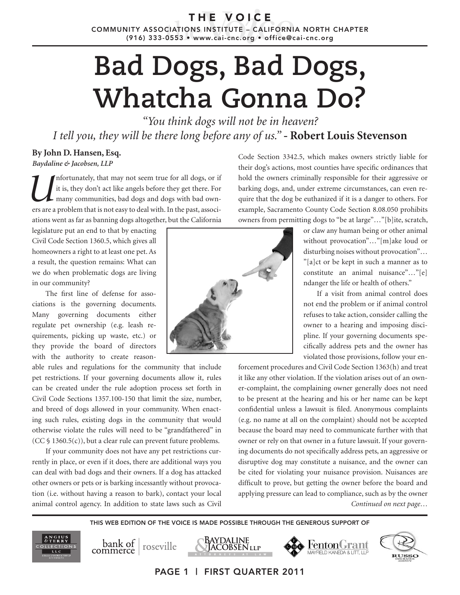THE VOICE

COMMUNITY ASSOCIATIONS INSTITUTE – CALIFORNIA NORTH CHAPTER (916) 333-0553 • www.cai-cnc.org • office@cai-cnc.org

## **Bad Dogs, Bad Dogs, Whatcha Gonna Do?**

*"You think dogs will not be in heaven? I tell you, they will be there long before any of us."* **- Robert Louis Stevenson**

## **By John D. Hansen, Esq.**

*Baydaline & Jacobsen, LLP* 

Infortunately, that may not seem true for all dogs, or if it is, they don't act like angels before they get there. For many communities, bad dogs and dogs with bad owners are a problem that is not easy to deal with. In the it is, they don't act like angels before they get there. For many communities, bad dogs and dogs with bad owners are a problem that is not easy to deal with. In the past, associations went as far as banning dogs altogether, but the California

legislature put an end to that by enacting Civil Code Section 1360.5, which gives all homeowners a right to at least one pet. As a result, the question remains: What can we do when problematic dogs are living in our community?

The first line of defense for associations is the governing documents. Many governing documents either regulate pet ownership (e.g. leash requirements, picking up waste, etc.) or they provide the board of directors with the authority to create reason-

able rules and regulations for the community that include pet restrictions. If your governing documents allow it, rules can be created under the rule adoption process set forth in Civil Code Sections 1357.100-150 that limit the size, number, and breed of dogs allowed in your community. When enacting such rules, existing dogs in the community that would otherwise violate the rules will need to be "grandfathered" in  $(CC \, \$ \, 1360.5(c))$ , but a clear rule can prevent future problems.

If your community does not have any pet restrictions currently in place, or even if it does, there are additional ways you can deal with bad dogs and their owners. If a dog has attacked other owners or pets or is barking incessantly without provocation (i.e. without having a reason to bark), contact your local animal control agency. In addition to state laws such as Civil



Code Section 3342.5, which makes owners strictly liable for their dog's actions, most counties have specific ordinances that hold the owners criminally responsible for their aggressive or barking dogs, and, under extreme circumstances, can even require that the dog be euthanized if it is a danger to others. For example, Sacramento County Code Section 8.08.050 prohibits owners from permitting dogs to "be at large"…"[b]ite, scratch,

> or claw any human being or other animal without provocation"…"[m]ake loud or disturbing noises without provocation"… "[a]ct or be kept in such a manner as to constitute an animal nuisance"…"[e] ndanger the life or health of others."

> If a visit from animal control does not end the problem or if animal control refuses to take action, consider calling the owner to a hearing and imposing discipline. If your governing documents specifically address pets and the owner has violated those provisions, follow your en-

*Continued on next page…* forcement procedures and Civil Code Section 1363(h) and treat it like any other violation. If the violation arises out of an owner-complaint, the complaining owner generally does not need to be present at the hearing and his or her name can be kept confidential unless a lawsuit is filed. Anonymous complaints (e.g. no name at all on the complaint) should not be accepted because the board may need to communicate further with that owner or rely on that owner in a future lawsuit. If your governing documents do not specifically address pets, an aggressive or disruptive dog may constitute a nuisance, and the owner can be cited for violating your nuisance provision. Nuisances are difficult to prove, but getting the owner before the board and applying pressure can lead to compliance, such as by the owner

THIS WEB EDITION OF THE VOICE IS MADE POSSIBLE THROUGH THE GENEROUS SUPPORT OF

PAGE 1 | FIRST QUARTER 2011